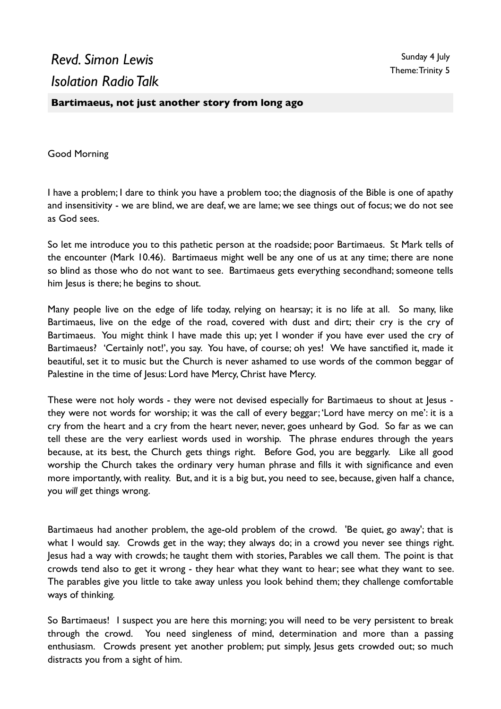## *Revd. Simon Lewis Isolation Radio Talk*

## **Bartimaeus, not just another story from long ago**

Good Morning

I have a problem; I dare to think you have a problem too; the diagnosis of the Bible is one of apathy and insensitivity - we are blind, we are deaf, we are lame; we see things out of focus; we do not see as God sees.

So let me introduce you to this pathetic person at the roadside; poor Bartimaeus. St Mark tells of the encounter (Mark 10.46). Bartimaeus might well be any one of us at any time; there are none so blind as those who do not want to see. Bartimaeus gets everything secondhand; someone tells him Jesus is there; he begins to shout.

Many people live on the edge of life today, relying on hearsay; it is no life at all. So many, like Bartimaeus, live on the edge of the road, covered with dust and dirt; their cry is the cry of Bartimaeus. You might think I have made this up; yet I wonder if you have ever used the cry of Bartimaeus? 'Certainly not!', you say. You have, of course; oh yes! We have sanctified it, made it beautiful, set it to music but the Church is never ashamed to use words of the common beggar of Palestine in the time of Jesus: Lord have Mercy, Christ have Mercy.

These were not holy words - they were not devised especially for Bartimaeus to shout at Jesus they were not words for worship; it was the call of every beggar; 'Lord have mercy on me': it is a cry from the heart and a cry from the heart never, never, goes unheard by God. So far as we can tell these are the very earliest words used in worship. The phrase endures through the years because, at its best, the Church gets things right. Before God, you are beggarly. Like all good worship the Church takes the ordinary very human phrase and fills it with significance and even more importantly, with reality. But, and it is a big but, you need to see, because, given half a chance, you *will* get things wrong.

Bartimaeus had another problem, the age-old problem of the crowd. 'Be quiet, go away'; that is what I would say. Crowds get in the way; they always do; in a crowd you never see things right. Jesus had a way with crowds; he taught them with stories, Parables we call them. The point is that crowds tend also to get it wrong - they hear what they want to hear; see what they want to see. The parables give you little to take away unless you look behind them; they challenge comfortable ways of thinking*.* 

So Bartimaeus! I suspect you are here this morning; you will need to be very persistent to break through the crowd. You need singleness of mind, determination and more than a passing enthusiasm. Crowds present yet another problem; put simply, Jesus gets crowded out; so much distracts you from a sight of him.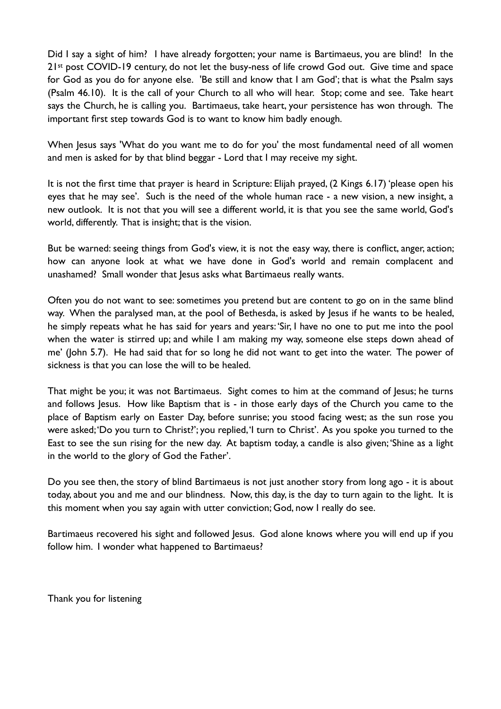Did I say a sight of him? I have already forgotten; your name is Bartimaeus, you are blind! In the 21<sup>st</sup> post COVID-19 century, do not let the busy-ness of life crowd God out. Give time and space for God as you do for anyone else. 'Be still and know that I am God'; that is what the Psalm says (Psalm 46.10). It is the call of your Church to all who will hear. Stop; come and see. Take heart says the Church, he is calling you. Bartimaeus, take heart, your persistence has won through. The important first step towards God is to want to know him badly enough.

When Jesus says 'What do you want me to do for you' the most fundamental need of all women and men is asked for by that blind beggar - Lord that I may receive my sight.

It is not the first time that prayer is heard in Scripture: Elijah prayed, (2 Kings 6.17) 'please open his eyes that he may see'. Such is the need of the whole human race - a new vision, a new insight, a new outlook. It is not that you will see a different world, it is that you see the same world, God's world, differently. That is insight; that is the vision.

But be warned: seeing things from God's view, it is not the easy way, there is conflict, anger, action; how can anyone look at what we have done in God's world and remain complacent and unashamed? Small wonder that Jesus asks what Bartimaeus really wants.

Often you do not want to see: sometimes you pretend but are content to go on in the same blind way. When the paralysed man, at the pool of Bethesda, is asked by Jesus if he wants to be healed, he simply repeats what he has said for years and years: 'Sir, I have no one to put me into the pool when the water is stirred up; and while I am making my way, someone else steps down ahead of me' (John 5.7). He had said that for so long he did not want to get into the water. The power of sickness is that you can lose the will to be healed.

That might be you; it was not Bartimaeus. Sight comes to him at the command of Jesus; he turns and follows Jesus. How like Baptism that is - in those early days of the Church you came to the place of Baptism early on Easter Day, before sunrise; you stood facing west; as the sun rose you were asked; 'Do you turn to Christ?'; you replied, 'I turn to Christ'. As you spoke you turned to the East to see the sun rising for the new day. At baptism today, a candle is also given; 'Shine as a light in the world to the glory of God the Father'.

Do you see then, the story of blind Bartimaeus is not just another story from long ago - it is about today, about you and me and our blindness. Now, this day, is the day to turn again to the light. It is this moment when you say again with utter conviction; God, now I really do see.

Bartimaeus recovered his sight and followed Jesus. God alone knows where you will end up if you follow him. I wonder what happened to Bartimaeus?

Thank you for listening